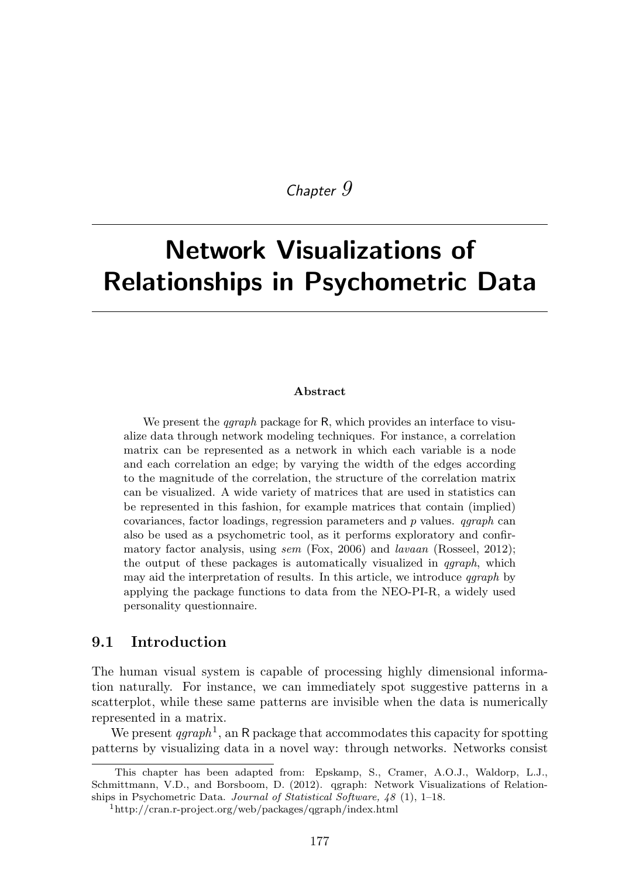# *Chapter 9*

# Network Visualizations of Relationships in Psychometric Data

#### Abstract

We present the *qgraph* package for R, which provides an interface to visualize data through network modeling techniques. For instance, a correlation matrix can be represented as a network in which each variable is a node and each correlation an edge; by varying the width of the edges according to the magnitude of the correlation, the structure of the correlation matrix can be visualized. A wide variety of matrices that are used in statistics can be represented in this fashion, for example matrices that contain (implied) covariances, factor loadings, regression parameters and *p* values. *qgraph* can also be used as a psychometric tool, as it performs exploratory and confirmatory factor analysis, using *sem* (Fox, 2006) and *lavaan* (Rosseel, 2012); the output of these packages is automatically visualized in *qgraph*, which may aid the interpretation of results. In this article, we introduce *qgraph* by applying the package functions to data from the NEO-PI-R, a widely used personality questionnaire.

# 9.1 Introduction

The human visual system is capable of processing highly dimensional information naturally. For instance, we can immediately spot suggestive patterns in a scatterplot, while these same patterns are invisible when the data is numerically represented in a matrix.

We present  $qgraph<sup>1</sup>$ , an R package that accommodates this capacity for spotting patterns by visualizing data in a novel way: through networks. Networks consist

This chapter has been adapted from: Epskamp, S., Cramer, A.O.J., Waldorp, L.J., Schmittmann, V.D., and Borsboom, D. (2012). qgraph: Network Visualizations of Relationships in Psychometric Data. *Journal of Statistical Software, 48* (1), 1–18.

<sup>1</sup>http://cran.r-project.org/web/packages/qgraph/index.html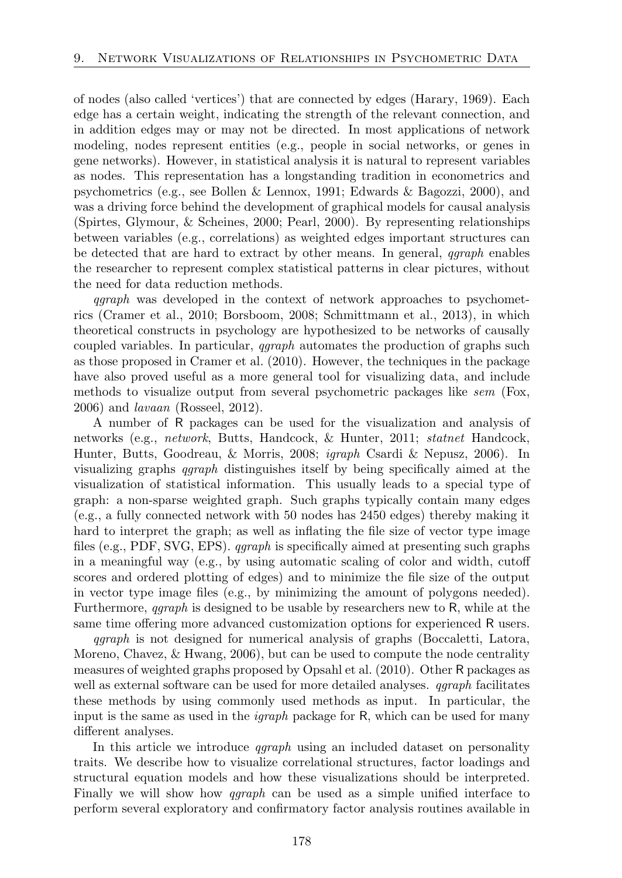of nodes (also called 'vertices') that are connected by edges (Harary, 1969). Each edge has a certain weight, indicating the strength of the relevant connection, and in addition edges may or may not be directed. In most applications of network modeling, nodes represent entities (e.g., people in social networks, or genes in gene networks). However, in statistical analysis it is natural to represent variables as nodes. This representation has a longstanding tradition in econometrics and psychometrics (e.g., see Bollen & Lennox, 1991; Edwards & Bagozzi, 2000), and was a driving force behind the development of graphical models for causal analysis (Spirtes, Glymour, & Scheines, 2000; Pearl, 2000). By representing relationships between variables (e.g., correlations) as weighted edges important structures can be detected that are hard to extract by other means. In general, *qgraph* enables the researcher to represent complex statistical patterns in clear pictures, without the need for data reduction methods.

*qgraph* was developed in the context of network approaches to psychometrics (Cramer et al., 2010; Borsboom, 2008; Schmittmann et al., 2013), in which theoretical constructs in psychology are hypothesized to be networks of causally coupled variables. In particular, *qgraph* automates the production of graphs such as those proposed in Cramer et al. (2010). However, the techniques in the package have also proved useful as a more general tool for visualizing data, and include methods to visualize output from several psychometric packages like *sem* (Fox, 2006) and *lavaan* (Rosseel, 2012).

A number of R packages can be used for the visualization and analysis of networks (e.g., *network*, Butts, Handcock, & Hunter, 2011; *statnet* Handcock, Hunter, Butts, Goodreau, & Morris, 2008; *igraph* Csardi & Nepusz, 2006). In visualizing graphs *qgraph* distinguishes itself by being specifically aimed at the visualization of statistical information. This usually leads to a special type of graph: a non-sparse weighted graph. Such graphs typically contain many edges (e.g., a fully connected network with 50 nodes has 2450 edges) thereby making it hard to interpret the graph; as well as inflating the file size of vector type image files (e.g., PDF, SVG, EPS). *qgraph* is specifically aimed at presenting such graphs in a meaningful way (e.g., by using automatic scaling of color and width, cutoff scores and ordered plotting of edges) and to minimize the file size of the output in vector type image files (e.g., by minimizing the amount of polygons needed). Furthermore, *qgraph* is designed to be usable by researchers new to R, while at the same time offering more advanced customization options for experienced R users.

*qgraph* is not designed for numerical analysis of graphs (Boccaletti, Latora, Moreno, Chavez, & Hwang, 2006), but can be used to compute the node centrality measures of weighted graphs proposed by Opsahl et al. (2010). Other R packages as well as external software can be used for more detailed analyses. *qgraph* facilitates these methods by using commonly used methods as input. In particular, the input is the same as used in the *igraph* package for R, which can be used for many different analyses.

In this article we introduce *qgraph* using an included dataset on personality traits. We describe how to visualize correlational structures, factor loadings and structural equation models and how these visualizations should be interpreted. Finally we will show how *qgraph* can be used as a simple unified interface to perform several exploratory and confirmatory factor analysis routines available in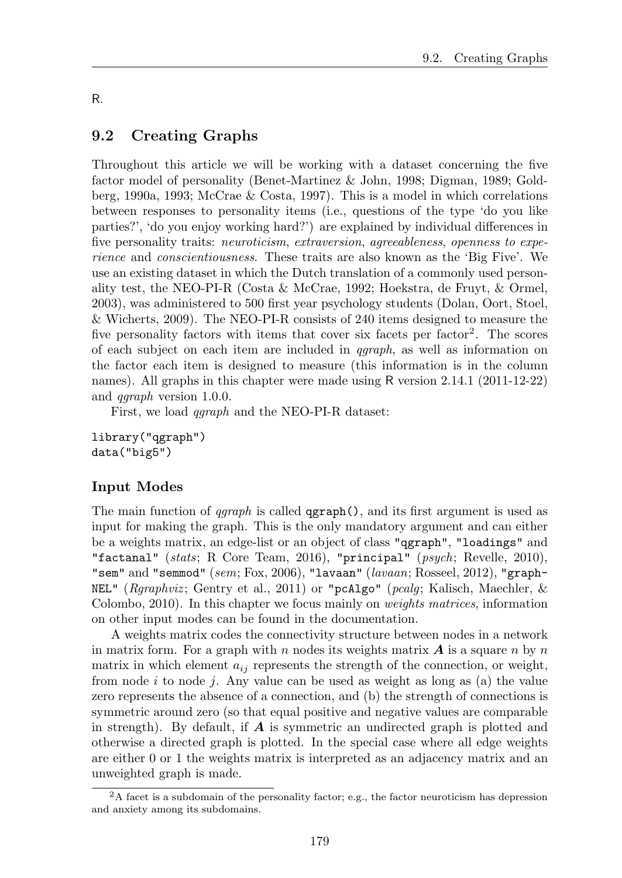### R.

# 9.2 Creating Graphs

Throughout this article we will be working with a dataset concerning the five factor model of personality (Benet-Martinez & John, 1998; Digman, 1989; Goldberg, 1990a, 1993; McCrae & Costa, 1997). This is a model in which correlations between responses to personality items (i.e., questions of the type 'do you like parties?', 'do you enjoy working hard?') are explained by individual differences in five personality traits: *neuroticism*, *extraversion*, *agreeableness*, *openness to experience* and *conscientiousness*. These traits are also known as the 'Big Five'. We use an existing dataset in which the Dutch translation of a commonly used personality test, the NEO-PI-R (Costa & McCrae, 1992; Hoekstra, de Fruyt, & Ormel, 2003), was administered to 500 first year psychology students (Dolan, Oort, Stoel, & Wicherts, 2009). The NEO-PI-R consists of 240 items designed to measure the five personality factors with items that cover six facets per factor<sup>2</sup>. The scores of each subject on each item are included in *qgraph*, as well as information on the factor each item is designed to measure (this information is in the column names). All graphs in this chapter were made using R version 2.14.1 (2011-12-22) and *qgraph* version 1.0.0.

First, we load *qgraph* and the NEO-PI-R dataset:

library("qgraph") data("big5")

# Input Modes

The main function of *qgraph* is called qgraph(), and its first argument is used as input for making the graph. This is the only mandatory argument and can either be a weights matrix, an edge-list or an object of class "qgraph", "loadings" and "factanal" (*stats*; R Core Team, 2016), "principal" (*psych*; Revelle, 2010), "sem" and "semmod" (*sem*; Fox, 2006), "lavaan" (*lavaan*; Rosseel, 2012), "graph-NEL" (*Rgraphviz* ; Gentry et al., 2011) or "pcAlgo" (*pcalg*; Kalisch, Maechler, & Colombo, 2010). In this chapter we focus mainly on *weights matrices*, information on other input modes can be found in the documentation.

A weights matrix codes the connectivity structure between nodes in a network in matrix form. For a graph with *n* nodes its weights matrix *A* is a square *n* by *n* matrix in which element  $a_{ij}$  represents the strength of the connection, or weight, from node *i* to node *j*. Any value can be used as weight as long as (a) the value zero represents the absence of a connection, and (b) the strength of connections is symmetric around zero (so that equal positive and negative values are comparable in strength). By default, if *A* is symmetric an undirected graph is plotted and otherwise a directed graph is plotted. In the special case where all edge weights are either 0 or 1 the weights matrix is interpreted as an adjacency matrix and an unweighted graph is made.

 $2A$  facet is a subdomain of the personality factor; e.g., the factor neuroticism has depression and anxiety among its subdomains.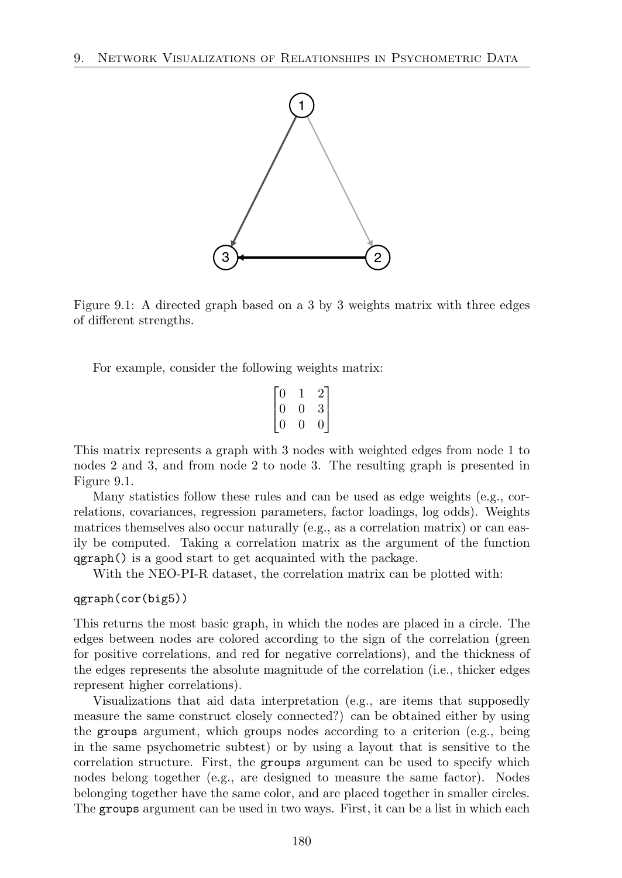

Figure 9.1: A directed graph based on a 3 by 3 weights matrix with three edges of different strengths.

For example, consider the following weights matrix:

$$
\begin{bmatrix} 0 & 1 & 2 \\ 0 & 0 & 3 \\ 0 & 0 & 0 \end{bmatrix}
$$

This matrix represents a graph with 3 nodes with weighted edges from node 1 to nodes 2 and 3, and from node 2 to node 3. The resulting graph is presented in Figure 9.1.

Many statistics follow these rules and can be used as edge weights (e.g., correlations, covariances, regression parameters, factor loadings, log odds). Weights matrices themselves also occur naturally (e.g., as a correlation matrix) or can easily be computed. Taking a correlation matrix as the argument of the function qgraph() is a good start to get acquainted with the package.

With the NEO-PI-R dataset, the correlation matrix can be plotted with:

#### qgraph(cor(big5))

This returns the most basic graph, in which the nodes are placed in a circle. The edges between nodes are colored according to the sign of the correlation (green for positive correlations, and red for negative correlations), and the thickness of the edges represents the absolute magnitude of the correlation (i.e., thicker edges represent higher correlations).

Visualizations that aid data interpretation (e.g., are items that supposedly measure the same construct closely connected?) can be obtained either by using the groups argument, which groups nodes according to a criterion (e.g., being in the same psychometric subtest) or by using a layout that is sensitive to the correlation structure. First, the groups argument can be used to specify which nodes belong together (e.g., are designed to measure the same factor). Nodes belonging together have the same color, and are placed together in smaller circles. The groups argument can be used in two ways. First, it can be a list in which each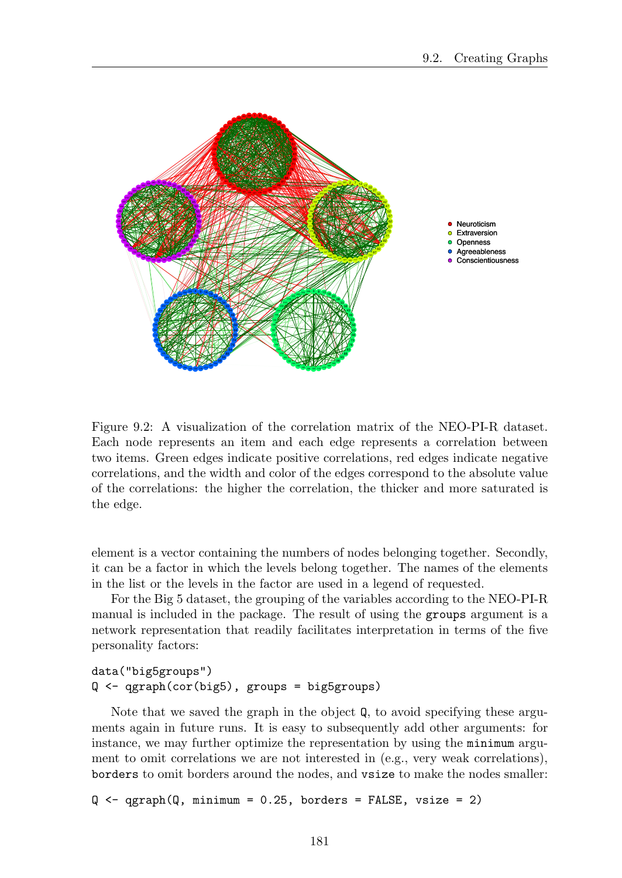

Figure 9.2: A visualization of the correlation matrix of the NEO-PI-R dataset. Each node represents an item and each edge represents a correlation between two items. Green edges indicate positive correlations, red edges indicate negative correlations, and the width and color of the edges correspond to the absolute value of the correlations: the higher the correlation, the thicker and more saturated is the edge.

element is a vector containing the numbers of nodes belonging together. Secondly, it can be a factor in which the levels belong together. The names of the elements in the list or the levels in the factor are used in a legend of requested.

For the Big 5 dataset, the grouping of the variables according to the NEO-PI-R manual is included in the package. The result of using the groups argument is a network representation that readily facilitates interpretation in terms of the five personality factors:

```
data("big5groups")
Q <- qgraph(cor(big5), groups = big5groups)
```
Note that we saved the graph in the object Q, to avoid specifying these arguments again in future runs. It is easy to subsequently add other arguments: for instance, we may further optimize the representation by using the minimum argument to omit correlations we are not interested in (e.g., very weak correlations), borders to omit borders around the nodes, and vsize to make the nodes smaller:

 $Q \leftarrow \text{qgraph}(Q, \text{minimum} = 0.25, \text{ borders} = \text{FALSE}, \text{vsize} = 2)$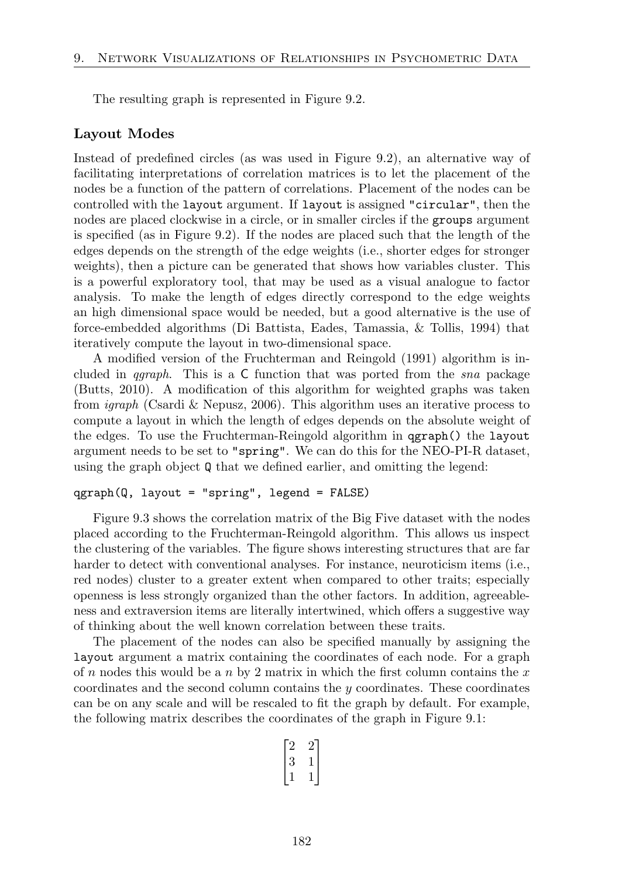The resulting graph is represented in Figure 9.2.

#### Layout Modes

Instead of predefined circles (as was used in Figure 9.2), an alternative way of facilitating interpretations of correlation matrices is to let the placement of the nodes be a function of the pattern of correlations. Placement of the nodes can be controlled with the layout argument. If layout is assigned "circular", then the nodes are placed clockwise in a circle, or in smaller circles if the groups argument is specified (as in Figure 9.2). If the nodes are placed such that the length of the edges depends on the strength of the edge weights (i.e., shorter edges for stronger weights), then a picture can be generated that shows how variables cluster. This is a powerful exploratory tool, that may be used as a visual analogue to factor analysis. To make the length of edges directly correspond to the edge weights an high dimensional space would be needed, but a good alternative is the use of force-embedded algorithms (Di Battista, Eades, Tamassia, & Tollis, 1994) that iteratively compute the layout in two-dimensional space.

A modified version of the Fruchterman and Reingold (1991) algorithm is included in *qgraph*. This is a C function that was ported from the *sna* package (Butts, 2010). A modification of this algorithm for weighted graphs was taken from *igraph* (Csardi & Nepusz, 2006). This algorithm uses an iterative process to compute a layout in which the length of edges depends on the absolute weight of the edges. To use the Fruchterman-Reingold algorithm in qgraph() the layout argument needs to be set to "spring". We can do this for the NEO-PI-R dataset, using the graph object Q that we defined earlier, and omitting the legend:

#### qgraph(Q, layout = "spring", legend = FALSE)

Figure 9.3 shows the correlation matrix of the Big Five dataset with the nodes placed according to the Fruchterman-Reingold algorithm. This allows us inspect the clustering of the variables. The figure shows interesting structures that are far harder to detect with conventional analyses. For instance, neuroticism items (i.e., red nodes) cluster to a greater extent when compared to other traits; especially openness is less strongly organized than the other factors. In addition, agreeableness and extraversion items are literally intertwined, which offers a suggestive way of thinking about the well known correlation between these traits.

The placement of the nodes can also be specified manually by assigning the layout argument a matrix containing the coordinates of each node. For a graph of *n* nodes this would be a *n* by 2 matrix in which the first column contains the *x* coordinates and the second column contains the *y* coordinates. These coordinates can be on any scale and will be rescaled to fit the graph by default. For example, the following matrix describes the coordinates of the graph in Figure 9.1:

$$
\begin{bmatrix} 2 & 2 \\ 3 & 1 \\ 1 & 1 \end{bmatrix}
$$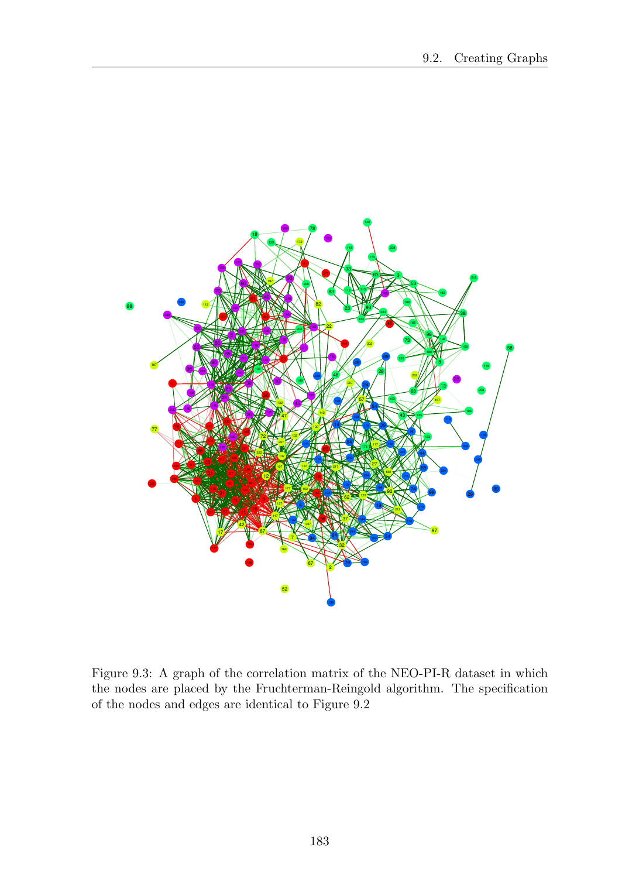

Figure 9.3: A graph of the correlation matrix of the NEO-PI-R dataset in which the nodes are placed by the Fruchterman-Reingold algorithm. The specification of the nodes and edges are identical to Figure 9.2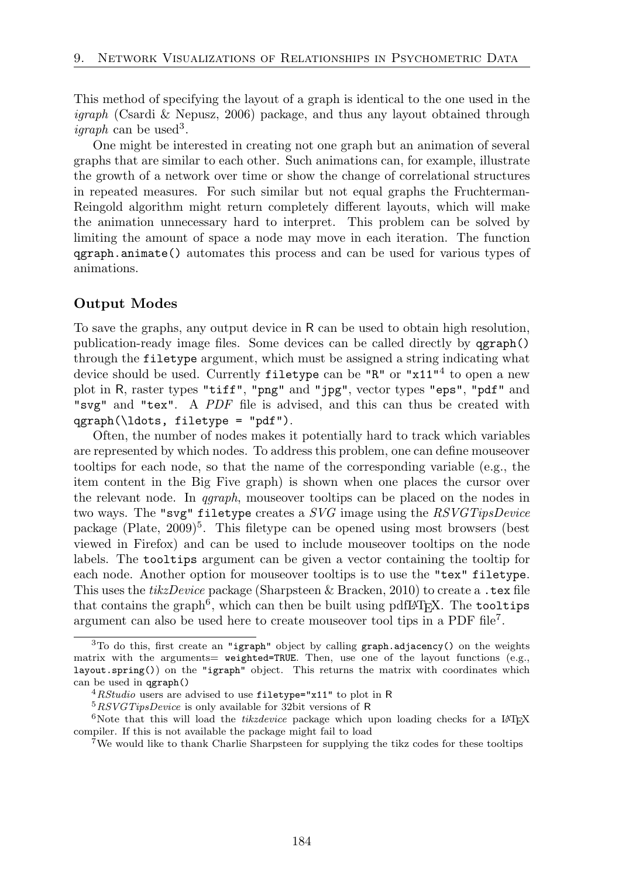This method of specifying the layout of a graph is identical to the one used in the *igraph* (Csardi & Nepusz, 2006) package, and thus any layout obtained through *igraph* can be used<sup>3</sup>.

One might be interested in creating not one graph but an animation of several graphs that are similar to each other. Such animations can, for example, illustrate the growth of a network over time or show the change of correlational structures in repeated measures. For such similar but not equal graphs the Fruchterman-Reingold algorithm might return completely different layouts, which will make the animation unnecessary hard to interpret. This problem can be solved by limiting the amount of space a node may move in each iteration. The function qgraph.animate() automates this process and can be used for various types of animations.

# Output Modes

To save the graphs, any output device in R can be used to obtain high resolution, publication-ready image files. Some devices can be called directly by qgraph() through the filetype argument, which must be assigned a string indicating what device should be used. Currently filetype can be " $R$ " or " $x11''^4$  to open a new plot in R, raster types "tiff", "png" and "jpg", vector types "eps", "pdf" and "svg" and "tex". A *PDF* file is advised, and this can thus be created with qgraph(\ldots, filetype = "pdf").

Often, the number of nodes makes it potentially hard to track which variables are represented by which nodes. To address this problem, one can define mouseover tooltips for each node, so that the name of the corresponding variable (e.g., the item content in the Big Five graph) is shown when one places the cursor over the relevant node. In *qgraph*, mouseover tooltips can be placed on the nodes in two ways. The "svg" filetype creates a *SVG* image using the *RSVGTipsDevice* package (Plate,  $2009$ <sup>5</sup>. This filetype can be opened using most browsers (best viewed in Firefox) and can be used to include mouseover tooltips on the node labels. The tooltips argument can be given a vector containing the tooltip for each node. Another option for mouseover tooltips is to use the "tex" filetype. This uses the *tikzDevice* package (Sharpsteen & Bracken, 2010) to create a .tex file that contains the graph<sup>6</sup>, which can then be built using pdfLAT<sub>EX</sub>. The tooltips argument can also be used here to create mouseover tool tips in a PDF file<sup>7</sup>.

<sup>3</sup>To do this, first create an "igraph" object by calling graph.adjacency() on the weights matrix with the arguments=  $weighted = TRUE$ . Then, use one of the layout functions (e.g., layout.spring()) on the "igraph" object. This returns the matrix with coordinates which can be used in qgraph()

<sup>4</sup>*RStudio* users are advised to use filetype="x11" to plot in R

<sup>5</sup>*RSVGTipsDevice* is only available for 32bit versions of R

<sup>&</sup>lt;sup>6</sup>Note that this will load the *tikzdevice* package which upon loading checks for a LAT<sub>E</sub>X compiler. If this is not available the package might fail to load

<sup>7</sup>We would like to thank Charlie Sharpsteen for supplying the tikz codes for these tooltips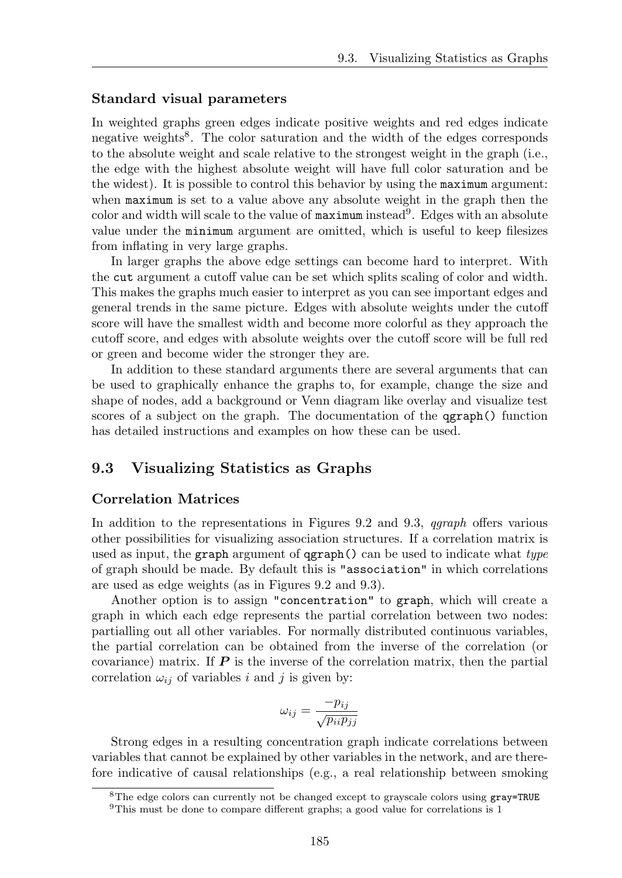#### Standard visual parameters

In weighted graphs green edges indicate positive weights and red edges indicate negative weights8. The color saturation and the width of the edges corresponds to the absolute weight and scale relative to the strongest weight in the graph (i.e., the edge with the highest absolute weight will have full color saturation and be the widest). It is possible to control this behavior by using the maximum argument: when maximum is set to a value above any absolute weight in the graph then the color and width will scale to the value of  $maximum$  instead<sup>9</sup>. Edges with an absolute value under the minimum argument are omitted, which is useful to keep filesizes from inflating in very large graphs.

In larger graphs the above edge settings can become hard to interpret. With the cut argument a cutoff value can be set which splits scaling of color and width. This makes the graphs much easier to interpret as you can see important edges and general trends in the same picture. Edges with absolute weights under the cutoff score will have the smallest width and become more colorful as they approach the cutoff score, and edges with absolute weights over the cutoff score will be full red or green and become wider the stronger they are.

In addition to these standard arguments there are several arguments that can be used to graphically enhance the graphs to, for example, change the size and shape of nodes, add a background or Venn diagram like overlay and visualize test scores of a subject on the graph. The documentation of the qgraph() function has detailed instructions and examples on how these can be used.

# 9.3 Visualizing Statistics as Graphs

# Correlation Matrices

In addition to the representations in Figures 9.2 and 9.3, *qgraph* offers various other possibilities for visualizing association structures. If a correlation matrix is used as input, the graph argument of qgraph() can be used to indicate what *type* of graph should be made. By default this is "association" in which correlations are used as edge weights (as in Figures 9.2 and 9.3).

Another option is to assign "concentration" to graph, which will create a graph in which each edge represents the partial correlation between two nodes: partialling out all other variables. For normally distributed continuous variables, the partial correlation can be obtained from the inverse of the correlation (or covariance) matrix. If *P* is the inverse of the correlation matrix, then the partial correlation  $\omega_{ij}$  of variables *i* and *j* is given by:

$$
\omega_{ij} = \frac{-p_{ij}}{\sqrt{p_{ii}p_{jj}}}
$$

Strong edges in a resulting concentration graph indicate correlations between variables that cannot be explained by other variables in the network, and are therefore indicative of causal relationships (e.g., a real relationship between smoking

<sup>&</sup>lt;sup>8</sup>The edge colors can currently not be changed except to grayscale colors using gray=TRUE

<sup>&</sup>lt;sup>9</sup>This must be done to compare different graphs; a good value for correlations is 1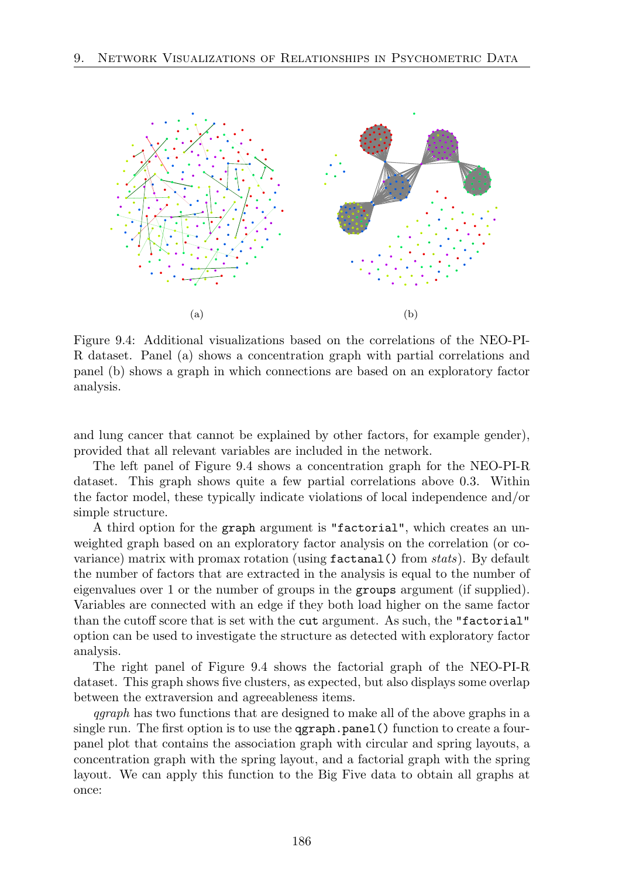

Figure 9.4: Additional visualizations based on the correlations of the NEO-PI-R dataset. Panel (a) shows a concentration graph with partial correlations and panel (b) shows a graph in which connections are based on an exploratory factor analysis.

and lung cancer that cannot be explained by other factors, for example gender), provided that all relevant variables are included in the network.

The left panel of Figure 9.4 shows a concentration graph for the NEO-PI-R dataset. This graph shows quite a few partial correlations above 0.3. Within the factor model, these typically indicate violations of local independence and/or simple structure.

A third option for the graph argument is "factorial", which creates an unweighted graph based on an exploratory factor analysis on the correlation (or covariance) matrix with promax rotation (using factanal() from *stats*). By default the number of factors that are extracted in the analysis is equal to the number of eigenvalues over 1 or the number of groups in the groups argument (if supplied). Variables are connected with an edge if they both load higher on the same factor than the cutoff score that is set with the cut argument. As such, the "factorial" option can be used to investigate the structure as detected with exploratory factor analysis.

The right panel of Figure 9.4 shows the factorial graph of the NEO-PI-R dataset. This graph shows five clusters, as expected, but also displays some overlap between the extraversion and agreeableness items.

*qgraph* has two functions that are designed to make all of the above graphs in a single run. The first option is to use the **ggraph**.panel () function to create a fourpanel plot that contains the association graph with circular and spring layouts, a concentration graph with the spring layout, and a factorial graph with the spring layout. We can apply this function to the Big Five data to obtain all graphs at once: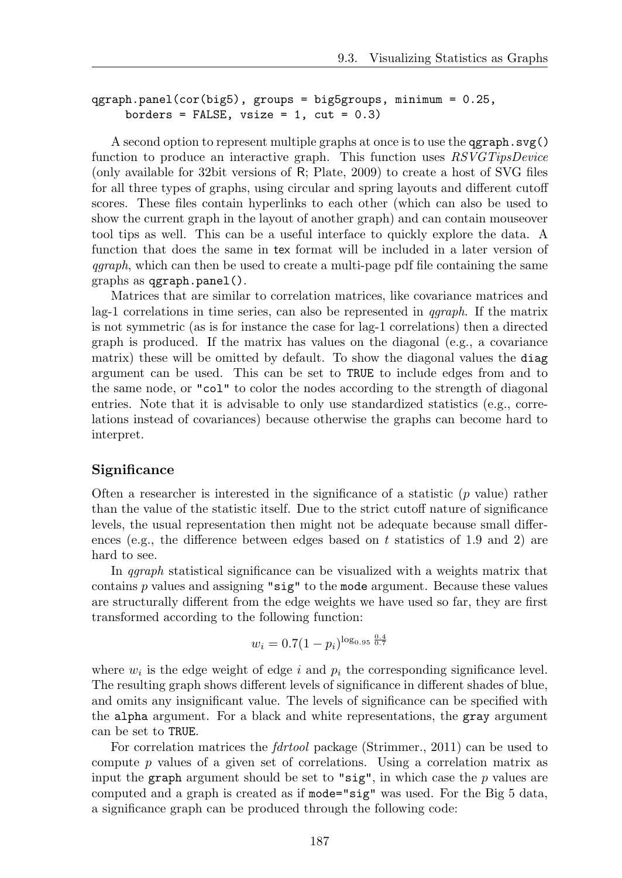```
qgraph.panel(cor(big5), groups = big5groups, minimum = 0.25,
     borders = FALSE, vsize = 1, cut = 0.3)
```
A second option to represent multiple graphs at once is to use the  $qgraph.svg()$ function to produce an interactive graph. This function uses *RSVGTipsDevice* (only available for 32bit versions of R; Plate, 2009) to create a host of SVG files for all three types of graphs, using circular and spring layouts and different cutoff scores. These files contain hyperlinks to each other (which can also be used to show the current graph in the layout of another graph) and can contain mouseover tool tips as well. This can be a useful interface to quickly explore the data. A function that does the same in tex format will be included in a later version of *qgraph*, which can then be used to create a multi-page pdf file containing the same graphs as qgraph.panel().

Matrices that are similar to correlation matrices, like covariance matrices and lag-1 correlations in time series, can also be represented in *qgraph*. If the matrix is not symmetric (as is for instance the case for lag-1 correlations) then a directed graph is produced. If the matrix has values on the diagonal (e.g., a covariance matrix) these will be omitted by default. To show the diagonal values the diag argument can be used. This can be set to TRUE to include edges from and to the same node, or "col" to color the nodes according to the strength of diagonal entries. Note that it is advisable to only use standardized statistics (e.g., correlations instead of covariances) because otherwise the graphs can become hard to interpret.

#### **Significance**

Often a researcher is interested in the significance of a statistic (*p* value) rather than the value of the statistic itself. Due to the strict cutoff nature of significance levels, the usual representation then might not be adequate because small differences (e.g., the difference between edges based on  $t$  statistics of 1.9 and 2) are hard to see.

In *qgraph* statistical significance can be visualized with a weights matrix that contains *p* values and assigning "sig" to the mode argument. Because these values are structurally different from the edge weights we have used so far, they are first transformed according to the following function:

$$
w_i = 0.7(1 - p_i)^{\log_{0.95} \frac{0.4}{0.7}}
$$

where  $w_i$  is the edge weight of edge  $i$  and  $p_i$  the corresponding significance level. The resulting graph shows different levels of significance in different shades of blue, and omits any insignificant value. The levels of significance can be specified with the alpha argument. For a black and white representations, the gray argument can be set to TRUE.

For correlation matrices the *fdrtool* package (Strimmer., 2011) can be used to compute *p* values of a given set of correlations. Using a correlation matrix as input the graph argument should be set to "sig", in which case the *p* values are computed and a graph is created as if mode="sig" was used. For the Big 5 data, a significance graph can be produced through the following code: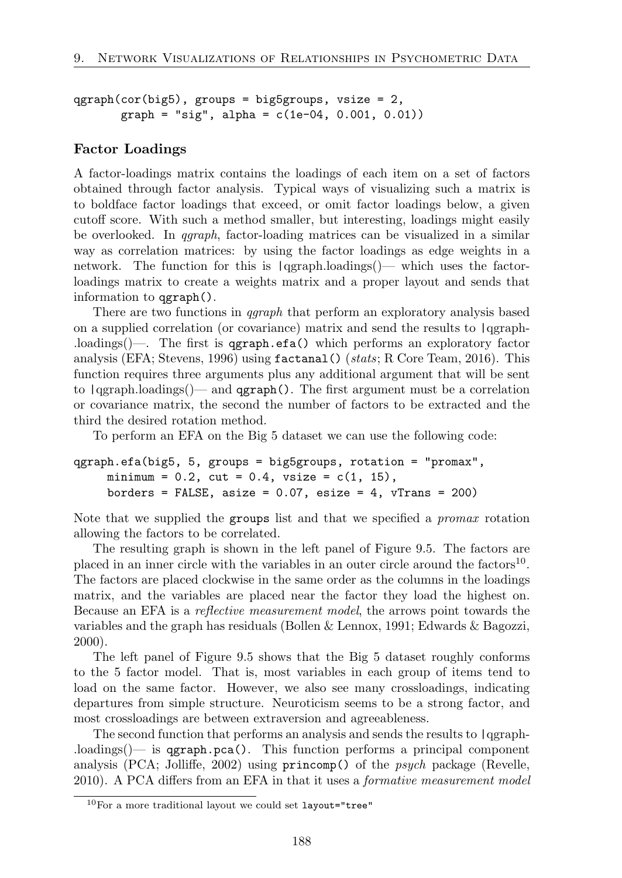```
qgraph(cor(big5), groups = big5grows, vsize = 2,graph = "sig", alpha = c(1e-04, 0.001, 0.01))
```
#### Factor Loadings

A factor-loadings matrix contains the loadings of each item on a set of factors obtained through factor analysis. Typical ways of visualizing such a matrix is to boldface factor loadings that exceed, or omit factor loadings below, a given cutoff score. With such a method smaller, but interesting, loadings might easily be overlooked. In *qgraph*, factor-loading matrices can be visualized in a similar way as correlation matrices: by using the factor loadings as edge weights in a network. The function for this is  $\frac{q}{q}$  |qgraph.loadings()— which uses the factorloadings matrix to create a weights matrix and a proper layout and sends that information to qgraph().

There are two functions in *qgraph* that perform an exploratory analysis based on a supplied correlation (or covariance) matrix and send the results to |qgraph- .loadings()—. The first is qgraph.efa() which performs an exploratory factor analysis (EFA; Stevens, 1996) using factanal() (*stats*; R Core Team, 2016). This function requires three arguments plus any additional argument that will be sent to  $\text{qgraph}$ . loadings()— and  $\text{qgraph}$ . The first argument must be a correlation or covariance matrix, the second the number of factors to be extracted and the third the desired rotation method.

To perform an EFA on the Big 5 dataset we can use the following code:

```
qgraph.efa(big5, 5, groups = big5groups, rotation = "promax",
     minimum = 0.2, cut = 0.4, vsize = c(1, 15),
     borders = FALSE, asize = 0.07, esize = 4, vTrans = 200)
```
Note that we supplied the groups list and that we specified a *promax* rotation allowing the factors to be correlated.

The resulting graph is shown in the left panel of Figure 9.5. The factors are placed in an inner circle with the variables in an outer circle around the factors<sup>10</sup>. The factors are placed clockwise in the same order as the columns in the loadings matrix, and the variables are placed near the factor they load the highest on. Because an EFA is a *reflective measurement model*, the arrows point towards the variables and the graph has residuals (Bollen & Lennox, 1991; Edwards & Bagozzi, 2000).

The left panel of Figure 9.5 shows that the Big 5 dataset roughly conforms to the 5 factor model. That is, most variables in each group of items tend to load on the same factor. However, we also see many crossloadings, indicating departures from simple structure. Neuroticism seems to be a strong factor, and most crossloadings are between extraversion and agreeableness.

The second function that performs an analysis and sends the results to |qgraph-  $\Lambda$ loadings()— is qgraph.pca(). This function performs a principal component analysis (PCA; Jolliffe, 2002) using **princomp()** of the *psych* package (Revelle, 2010). A PCA differs from an EFA in that it uses a *formative measurement model* 

 $10$ For a more traditional layout we could set layout="tree"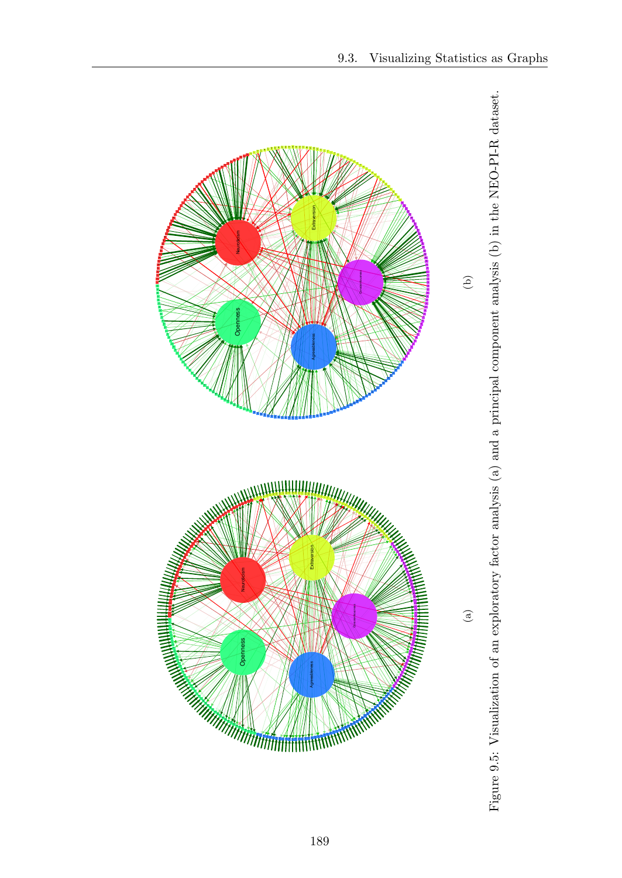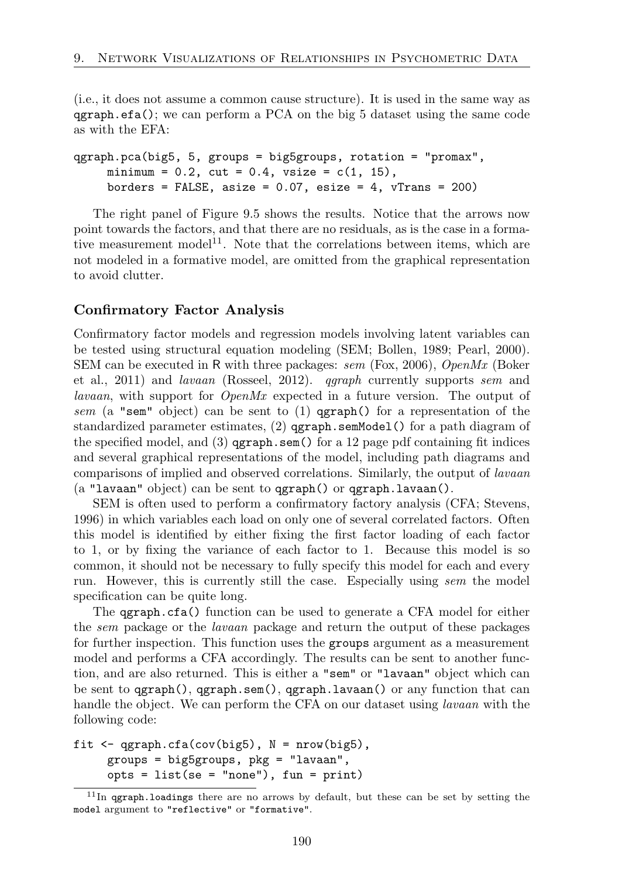(i.e., it does not assume a common cause structure). It is used in the same way as  $qgraph.efa()$ ; we can perform a PCA on the big 5 dataset using the same code as with the EFA:

```
qgraph.pca(big5, 5, groups = big5groups, rotation = "promax",
     minimum = 0.2, cut = 0.4, vsize = c(1, 15),
     borders = FALSE, asize = 0.07, esize = 4, vTrans = 200)
```
The right panel of Figure 9.5 shows the results. Notice that the arrows now point towards the factors, and that there are no residuals, as is the case in a formative measurement model<sup>11</sup>. Note that the correlations between items, which are not modeled in a formative model, are omitted from the graphical representation to avoid clutter.

#### Confirmatory Factor Analysis

Confirmatory factor models and regression models involving latent variables can be tested using structural equation modeling (SEM; Bollen, 1989; Pearl, 2000). SEM can be executed in R with three packages: *sem* (Fox, 2006), *OpenMx* (Boker et al., 2011) and *lavaan* (Rosseel, 2012). *qgraph* currently supports *sem* and *lavaan*, with support for *OpenMx* expected in a future version. The output of *sem* (a "sem" object) can be sent to (1) qgraph() for a representation of the standardized parameter estimates, (2) qgraph.semModel() for a path diagram of the specified model, and  $(3)$  qgraph.sem() for a 12 page pdf containing fit indices and several graphical representations of the model, including path diagrams and comparisons of implied and observed correlations. Similarly, the output of *lavaan* (a "lavaan" object) can be sent to qgraph() or qgraph.lavaan().

SEM is often used to perform a confirmatory factory analysis (CFA; Stevens, 1996) in which variables each load on only one of several correlated factors. Often this model is identified by either fixing the first factor loading of each factor to 1, or by fixing the variance of each factor to 1. Because this model is so common, it should not be necessary to fully specify this model for each and every run. However, this is currently still the case. Especially using *sem* the model specification can be quite long.

The qgraph.cfa() function can be used to generate a CFA model for either the *sem* package or the *lavaan* package and return the output of these packages for further inspection. This function uses the groups argument as a measurement model and performs a CFA accordingly. The results can be sent to another function, and are also returned. This is either a "sem" or "lavaan" object which can be sent to  $qgraph()$ ,  $qgraph.sem()$ ,  $qgraph.lavan()$  or any function that can handle the object. We can perform the CFA on our dataset using *lavaan* with the following code:

```
fit \leq qgraph.cfa(cov(big5), N = nrow(big5),
     groups = big5groups, pkg = "lavaan",
     opts = list(se = "none"), fun = print)
```
 $11$ In qgraph.loadings there are no arrows by default, but these can be set by setting the model argument to "reflective" or "formative".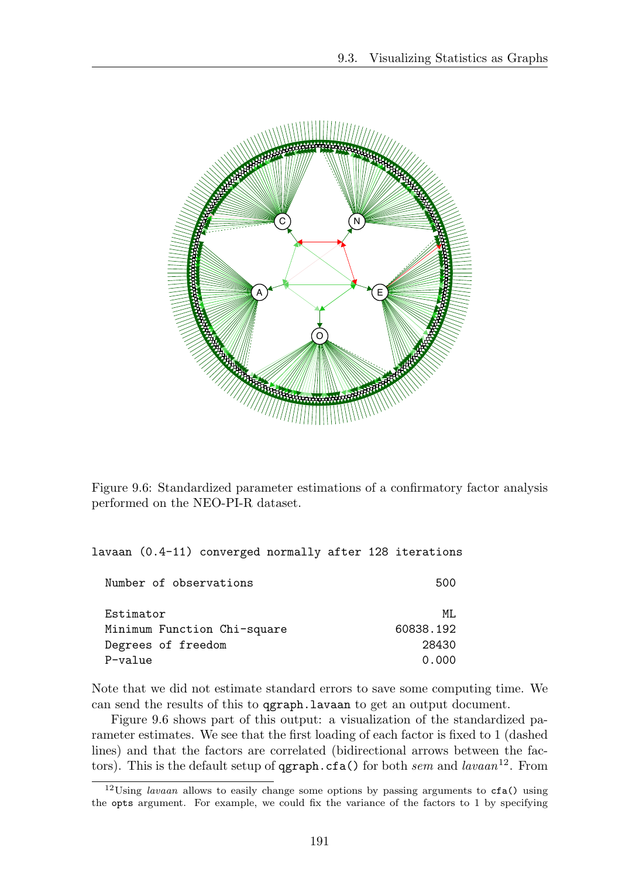

Figure 9.6: Standardized parameter estimations of a confirmatory factor analysis performed on the NEO-PI-R dataset.

lavaan (0.4-11) converged normally after 128 iterations

| 500       |
|-----------|
| MT.       |
| 60838.192 |
| 28430     |
| 0.000     |
|           |

Note that we did not estimate standard errors to save some computing time. We can send the results of this to qgraph.lavaan to get an output document.

Figure 9.6 shows part of this output: a visualization of the standardized parameter estimates. We see that the first loading of each factor is fixed to 1 (dashed lines) and that the factors are correlated (bidirectional arrows between the factors). This is the default setup of qgraph.cfa() for both *sem* and *lavaan*<sup>12</sup>. From

<sup>12</sup>Using *lavaan* allows to easily change some options by passing arguments to cfa() using the opts argument. For example, we could fix the variance of the factors to 1 by specifying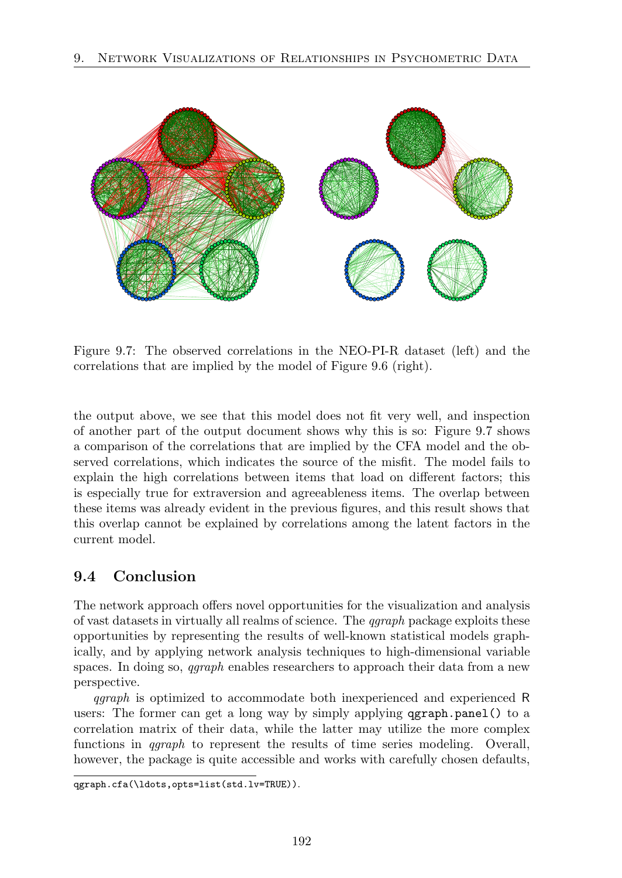

Figure 9.7: The observed correlations in the NEO-PI-R dataset (left) and the correlations that are implied by the model of Figure 9.6 (right).

the output above, we see that this model does not fit very well, and inspection of another part of the output document shows why this is so: Figure 9.7 shows a comparison of the correlations that are implied by the CFA model and the observed correlations, which indicates the source of the misfit. The model fails to explain the high correlations between items that load on different factors; this is especially true for extraversion and agreeableness items. The overlap between these items was already evident in the previous figures, and this result shows that this overlap cannot be explained by correlations among the latent factors in the current model.

# 9.4 Conclusion

The network approach offers novel opportunities for the visualization and analysis of vast datasets in virtually all realms of science. The *qgraph* package exploits these opportunities by representing the results of well-known statistical models graphically, and by applying network analysis techniques to high-dimensional variable spaces. In doing so, *qgraph* enables researchers to approach their data from a new perspective.

*qgraph* is optimized to accommodate both inexperienced and experienced R users: The former can get a long way by simply applying qgraph.panel() to a correlation matrix of their data, while the latter may utilize the more complex functions in *qgraph* to represent the results of time series modeling. Overall, however, the package is quite accessible and works with carefully chosen defaults,

qgraph.cfa(\ldots,opts=list(std.lv=TRUE)).